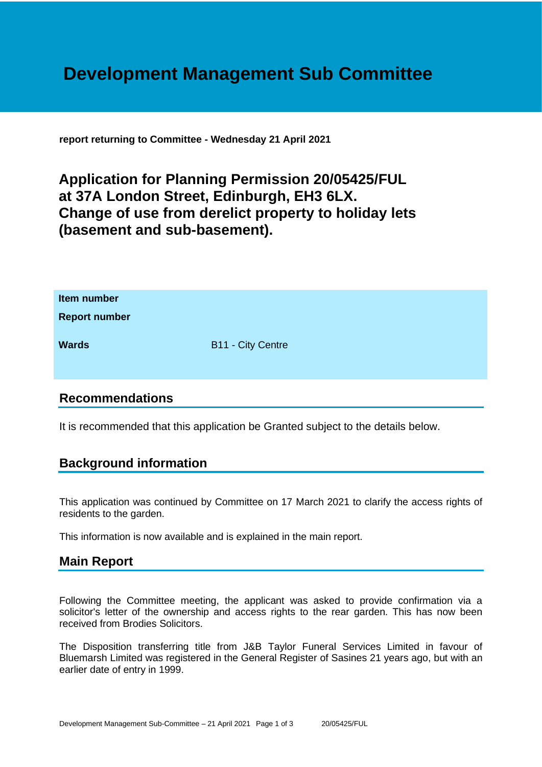# **Development Management Sub Committee**

**report returning to Committee - Wednesday 21 April 2021**

## **Application for Planning Permission 20/05425/FUL at 37A London Street, Edinburgh, EH3 6LX. Change of use from derelict property to holiday lets (basement and sub-basement).**

| Item number<br><b>Report number</b> |                          |
|-------------------------------------|--------------------------|
| <b>Wards</b>                        | <b>B11 - City Centre</b> |

#### **Recommendations**

It is recommended that this application be Granted subject to the details below.

### **Background information**

This application was continued by Committee on 17 March 2021 to clarify the access rights of residents to the garden.

This information is now available and is explained in the main report.

### **Main Report**

Following the Committee meeting, the applicant was asked to provide confirmation via a solicitor's letter of the ownership and access rights to the rear garden. This has now been received from Brodies Solicitors.

The Disposition transferring title from J&B Taylor Funeral Services Limited in favour of Bluemarsh Limited was registered in the General Register of Sasines 21 years ago, but with an earlier date of entry in 1999.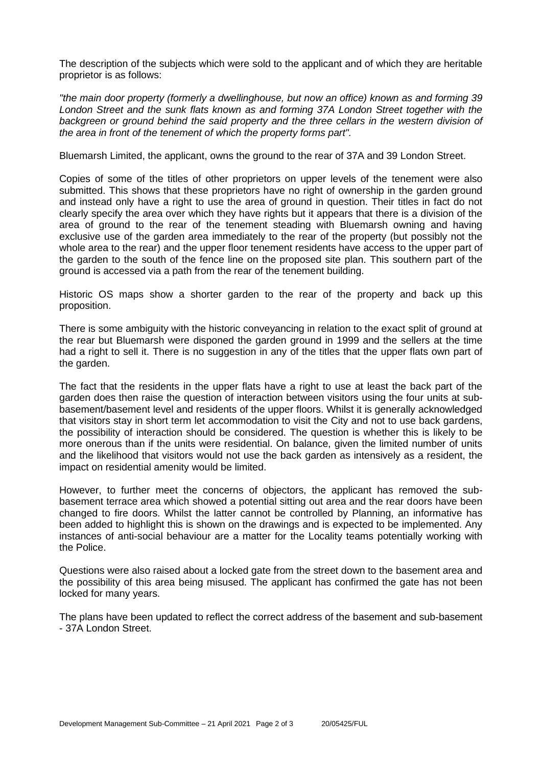The description of the subjects which were sold to the applicant and of which they are heritable proprietor is as follows:

*"the main door property (formerly a dwellinghouse, but now an office) known as and forming 39 London Street and the sunk flats known as and forming 37A London Street together with the*  backgreen or ground behind the said property and the three cellars in the western division of *the area in front of the tenement of which the property forms part".*

Bluemarsh Limited, the applicant, owns the ground to the rear of 37A and 39 London Street.

Copies of some of the titles of other proprietors on upper levels of the tenement were also submitted. This shows that these proprietors have no right of ownership in the garden ground and instead only have a right to use the area of ground in question. Their titles in fact do not clearly specify the area over which they have rights but it appears that there is a division of the area of ground to the rear of the tenement steading with Bluemarsh owning and having exclusive use of the garden area immediately to the rear of the property (but possibly not the whole area to the rear) and the upper floor tenement residents have access to the upper part of the garden to the south of the fence line on the proposed site plan. This southern part of the ground is accessed via a path from the rear of the tenement building.

Historic OS maps show a shorter garden to the rear of the property and back up this proposition.

There is some ambiguity with the historic conveyancing in relation to the exact split of ground at the rear but Bluemarsh were disponed the garden ground in 1999 and the sellers at the time had a right to sell it. There is no suggestion in any of the titles that the upper flats own part of the garden.

The fact that the residents in the upper flats have a right to use at least the back part of the garden does then raise the question of interaction between visitors using the four units at subbasement/basement level and residents of the upper floors. Whilst it is generally acknowledged that visitors stay in short term let accommodation to visit the City and not to use back gardens, the possibility of interaction should be considered. The question is whether this is likely to be more onerous than if the units were residential. On balance, given the limited number of units and the likelihood that visitors would not use the back garden as intensively as a resident, the impact on residential amenity would be limited.

However, to further meet the concerns of objectors, the applicant has removed the subbasement terrace area which showed a potential sitting out area and the rear doors have been changed to fire doors. Whilst the latter cannot be controlled by Planning, an informative has been added to highlight this is shown on the drawings and is expected to be implemented. Any instances of anti-social behaviour are a matter for the Locality teams potentially working with the Police.

Questions were also raised about a locked gate from the street down to the basement area and the possibility of this area being misused. The applicant has confirmed the gate has not been locked for many years.

The plans have been updated to reflect the correct address of the basement and sub-basement - 37A London Street.